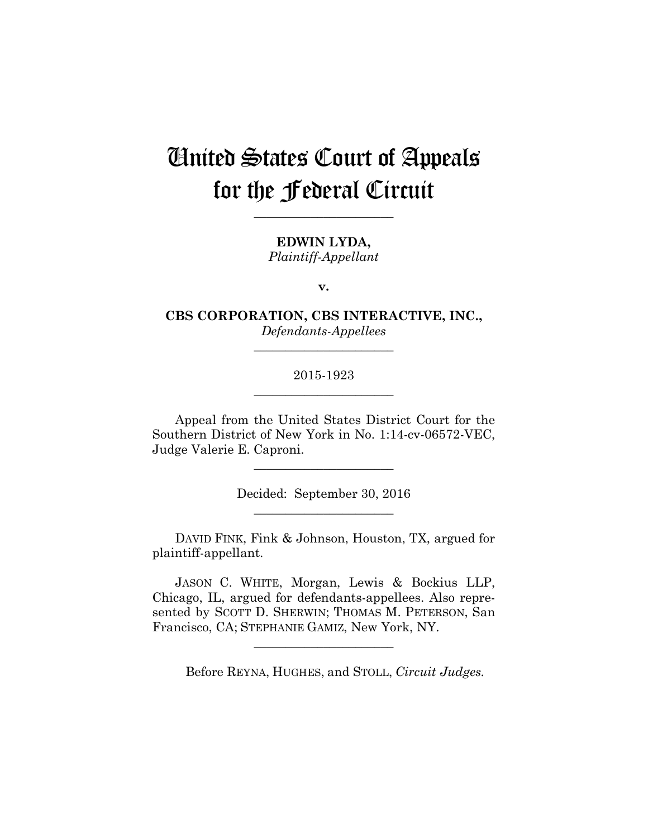# United States Court of Appeals for the Federal Circuit

**\_\_\_\_\_\_\_\_\_\_\_\_\_\_\_\_\_\_\_\_\_\_** 

**EDWIN LYDA,** *Plaintiff-Appellant*

**v.**

**CBS CORPORATION, CBS INTERACTIVE, INC.,** *Defendants-Appellees*

**\_\_\_\_\_\_\_\_\_\_\_\_\_\_\_\_\_\_\_\_\_\_** 

# 2015-1923 **\_\_\_\_\_\_\_\_\_\_\_\_\_\_\_\_\_\_\_\_\_\_**

Appeal from the United States District Court for the Southern District of New York in No. 1:14-cv-06572-VEC, Judge Valerie E. Caproni.

> Decided: September 30, 2016 **\_\_\_\_\_\_\_\_\_\_\_\_\_\_\_\_\_\_\_\_\_\_**

**\_\_\_\_\_\_\_\_\_\_\_\_\_\_\_\_\_\_\_\_\_\_** 

 DAVID FINK, Fink & Johnson, Houston, TX, argued for plaintiff-appellant.

 JASON C. WHITE, Morgan, Lewis & Bockius LLP, Chicago, IL, argued for defendants-appellees. Also represented by SCOTT D. SHERWIN; THOMAS M. PETERSON, San Francisco, CA; STEPHANIE GAMIZ, New York, NY.

**\_\_\_\_\_\_\_\_\_\_\_\_\_\_\_\_\_\_\_\_\_\_** 

Before REYNA, HUGHES, and STOLL, *Circuit Judges.*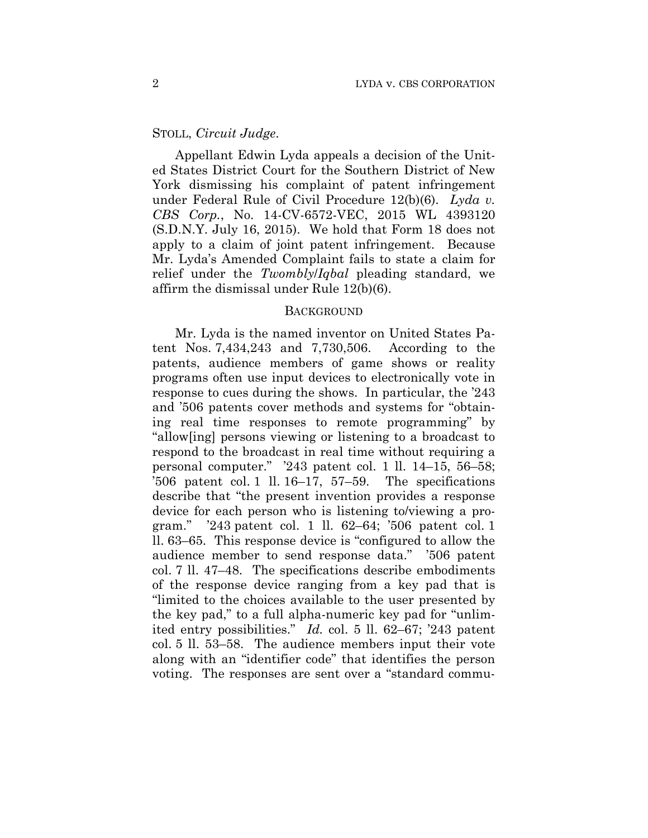# STOLL, *Circuit Judge*.

Appellant Edwin Lyda appeals a decision of the United States District Court for the Southern District of New York dismissing his complaint of patent infringement under Federal Rule of Civil Procedure 12(b)(6). *Lyda v. CBS Corp.*, No. 14-CV-6572-VEC, 2015 WL 4393120 (S.D.N.Y. July 16, 2015). We hold that Form 18 does not apply to a claim of joint patent infringement. Because Mr. Lyda's Amended Complaint fails to state a claim for relief under the *Twombly*/*Iqbal* pleading standard, we affirm the dismissal under Rule 12(b)(6).

## **BACKGROUND**

Mr. Lyda is the named inventor on United States Patent Nos. 7,434,243 and 7,730,506. According to the patents, audience members of game shows or reality programs often use input devices to electronically vote in response to cues during the shows. In particular, the '243 and '506 patents cover methods and systems for "obtaining real time responses to remote programming" by "allow[ing] persons viewing or listening to a broadcast to respond to the broadcast in real time without requiring a personal computer." '243 patent col. 1 ll. 14–15, 56–58; '506 patent col. 1 ll. 16–17, 57–59. The specifications describe that "the present invention provides a response device for each person who is listening to/viewing a program." '243 patent col. 1 ll. 62–64; '506 patent col. 1 ll. 63–65. This response device is "configured to allow the audience member to send response data." '506 patent col. 7 ll. 47–48. The specifications describe embodiments of the response device ranging from a key pad that is "limited to the choices available to the user presented by the key pad," to a full alpha-numeric key pad for "unlimited entry possibilities." *Id.* col. 5 ll. 62–67; '243 patent col. 5 ll. 53–58. The audience members input their vote along with an "identifier code" that identifies the person voting. The responses are sent over a "standard commu-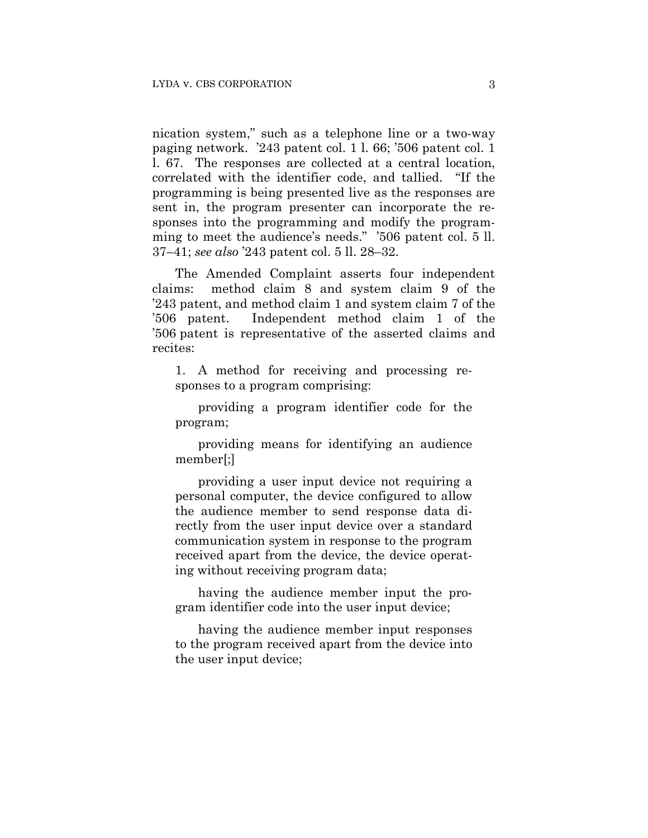nication system," such as a telephone line or a two-way paging network. '243 patent col. 1 l. 66; '506 patent col. 1 l. 67. The responses are collected at a central location, correlated with the identifier code, and tallied. "If the programming is being presented live as the responses are sent in, the program presenter can incorporate the responses into the programming and modify the programming to meet the audience's needs." '506 patent col. 5 ll. 37–41; *see also* '243 patent col. 5 ll. 28–32.

The Amended Complaint asserts four independent claims: method claim 8 and system claim 9 of the '243 patent, and method claim 1 and system claim 7 of the '506 patent. Independent method claim 1 of the '506 patent is representative of the asserted claims and recites:

1. A method for receiving and processing responses to a program comprising:

providing a program identifier code for the program;

providing means for identifying an audience member[;]

providing a user input device not requiring a personal computer, the device configured to allow the audience member to send response data directly from the user input device over a standard communication system in response to the program received apart from the device, the device operating without receiving program data;

having the audience member input the program identifier code into the user input device;

having the audience member input responses to the program received apart from the device into the user input device;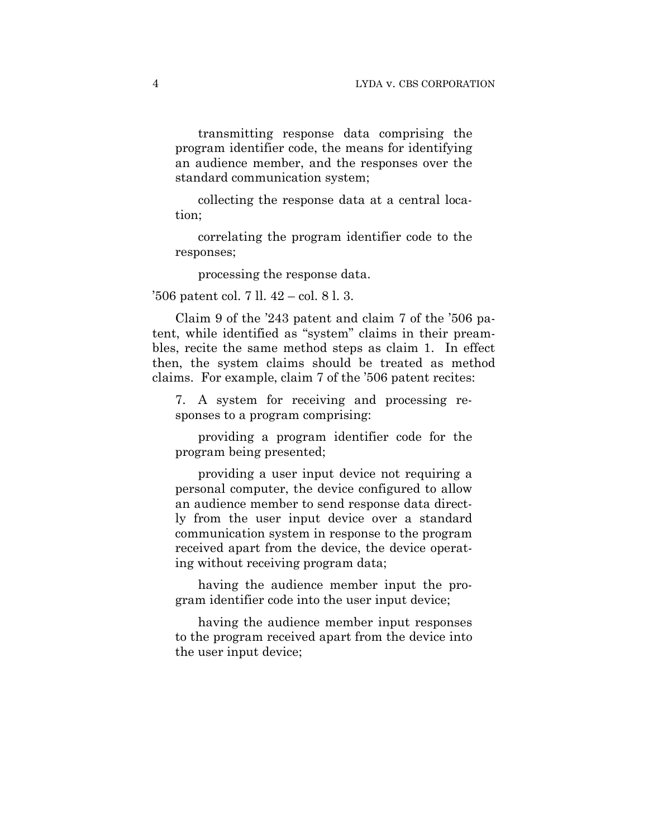transmitting response data comprising the program identifier code, the means for identifying an audience member, and the responses over the standard communication system;

collecting the response data at a central location;

correlating the program identifier code to the responses;

processing the response data.

'506 patent col. 7 ll. 42 – col. 8 l. 3.

Claim 9 of the '243 patent and claim 7 of the '506 patent, while identified as "system" claims in their preambles, recite the same method steps as claim 1. In effect then, the system claims should be treated as method claims. For example, claim 7 of the '506 patent recites:

7. A system for receiving and processing responses to a program comprising:

providing a program identifier code for the program being presented;

providing a user input device not requiring a personal computer, the device configured to allow an audience member to send response data directly from the user input device over a standard communication system in response to the program received apart from the device, the device operating without receiving program data;

having the audience member input the program identifier code into the user input device;

having the audience member input responses to the program received apart from the device into the user input device;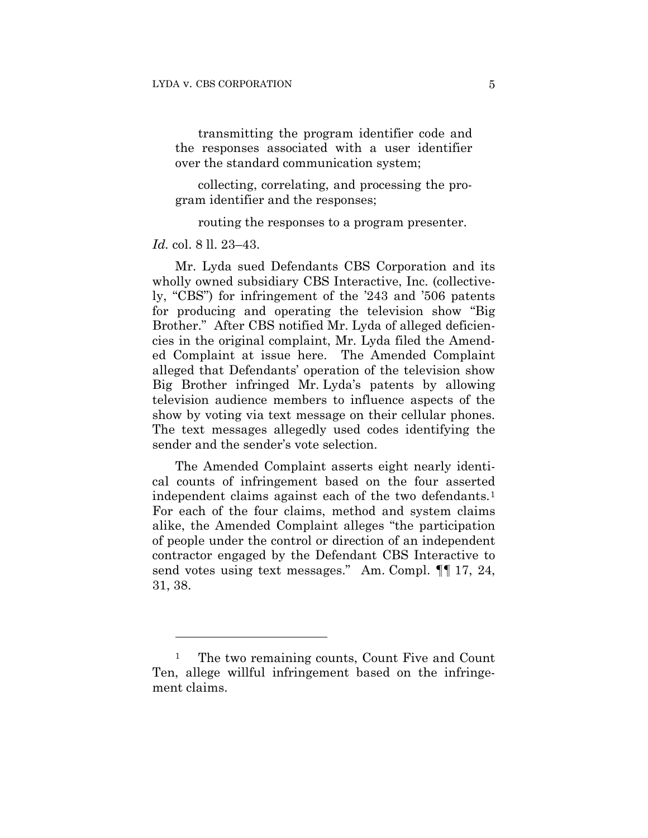transmitting the program identifier code and the responses associated with a user identifier over the standard communication system;

collecting, correlating, and processing the program identifier and the responses;

routing the responses to a program presenter.

*Id.* col. 8 ll. 23–43.

 $\overline{a}$ 

Mr. Lyda sued Defendants CBS Corporation and its wholly owned subsidiary CBS Interactive, Inc. (collectively, "CBS") for infringement of the '243 and '506 patents for producing and operating the television show "Big Brother." After CBS notified Mr. Lyda of alleged deficiencies in the original complaint, Mr. Lyda filed the Amended Complaint at issue here. The Amended Complaint alleged that Defendants' operation of the television show Big Brother infringed Mr. Lyda's patents by allowing television audience members to influence aspects of the show by voting via text message on their cellular phones. The text messages allegedly used codes identifying the sender and the sender's vote selection.

The Amended Complaint asserts eight nearly identical counts of infringement based on the four asserted independent claims against each of the two defendants.<sup>1</sup> For each of the four claims, method and system claims alike, the Amended Complaint alleges "the participation of people under the control or direction of an independent contractor engaged by the Defendant CBS Interactive to send votes using text messages." Am. Compl.  $\P$  17, 24, 31, 38.

<sup>&</sup>lt;sup>1</sup> The two remaining counts, Count Five and Count Ten, allege willful infringement based on the infringement claims.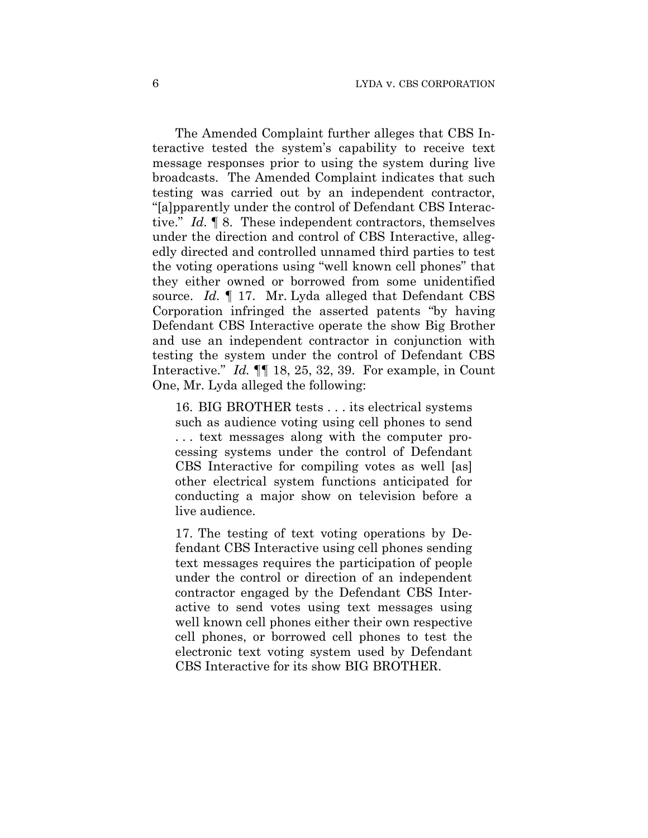The Amended Complaint further alleges that CBS Interactive tested the system's capability to receive text message responses prior to using the system during live broadcasts. The Amended Complaint indicates that such testing was carried out by an independent contractor, "[a]pparently under the control of Defendant CBS Interactive." *Id.* ¶ 8. These independent contractors, themselves under the direction and control of CBS Interactive, allegedly directed and controlled unnamed third parties to test the voting operations using "well known cell phones" that they either owned or borrowed from some unidentified source. *Id.* ¶ 17. Mr. Lyda alleged that Defendant CBS Corporation infringed the asserted patents "by having Defendant CBS Interactive operate the show Big Brother and use an independent contractor in conjunction with testing the system under the control of Defendant CBS Interactive." *Id.* ¶¶ 18, 25, 32, 39. For example, in Count One, Mr. Lyda alleged the following:

16. BIG BROTHER tests . . . its electrical systems such as audience voting using cell phones to send . . . text messages along with the computer processing systems under the control of Defendant CBS Interactive for compiling votes as well [as] other electrical system functions anticipated for conducting a major show on television before a live audience.

17. The testing of text voting operations by Defendant CBS Interactive using cell phones sending text messages requires the participation of people under the control or direction of an independent contractor engaged by the Defendant CBS Interactive to send votes using text messages using well known cell phones either their own respective cell phones, or borrowed cell phones to test the electronic text voting system used by Defendant CBS Interactive for its show BIG BROTHER.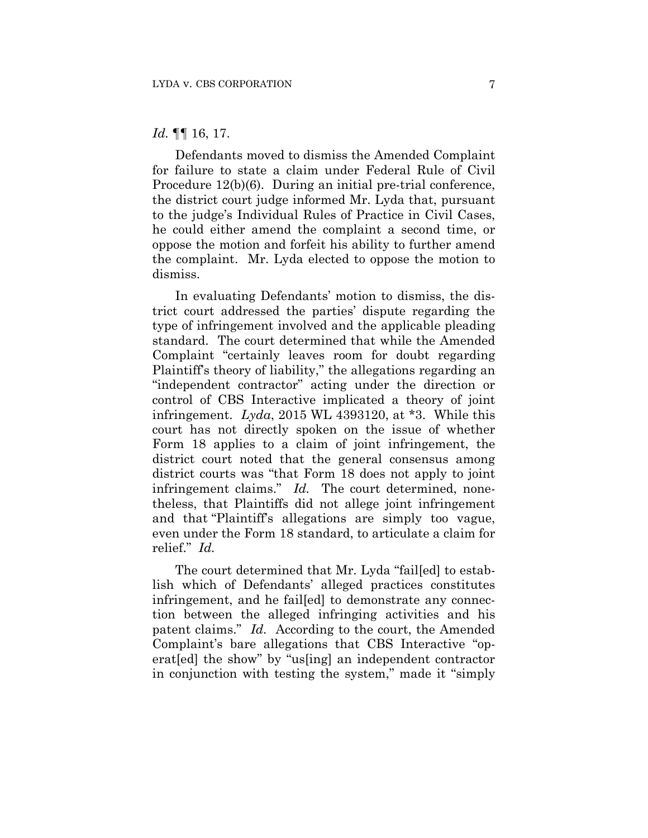## *Id.* ¶¶ 16, 17.

Defendants moved to dismiss the Amended Complaint for failure to state a claim under Federal Rule of Civil Procedure 12(b)(6). During an initial pre-trial conference, the district court judge informed Mr. Lyda that, pursuant to the judge's Individual Rules of Practice in Civil Cases, he could either amend the complaint a second time, or oppose the motion and forfeit his ability to further amend the complaint. Mr. Lyda elected to oppose the motion to dismiss.

In evaluating Defendants' motion to dismiss, the district court addressed the parties' dispute regarding the type of infringement involved and the applicable pleading standard. The court determined that while the Amended Complaint "certainly leaves room for doubt regarding Plaintiff's theory of liability," the allegations regarding an "independent contractor" acting under the direction or control of CBS Interactive implicated a theory of joint infringement. *Lyda*, 2015 WL 4393120, at \*3. While this court has not directly spoken on the issue of whether Form 18 applies to a claim of joint infringement, the district court noted that the general consensus among district courts was "that Form 18 does not apply to joint infringement claims." *Id.* The court determined, nonetheless, that Plaintiffs did not allege joint infringement and that "Plaintiff's allegations are simply too vague, even under the Form 18 standard, to articulate a claim for relief." *Id.*

The court determined that Mr. Lyda "fail[ed] to establish which of Defendants' alleged practices constitutes infringement, and he fail[ed] to demonstrate any connection between the alleged infringing activities and his patent claims." *Id.* According to the court, the Amended Complaint's bare allegations that CBS Interactive "operat[ed] the show" by "us[ing] an independent contractor in conjunction with testing the system," made it "simply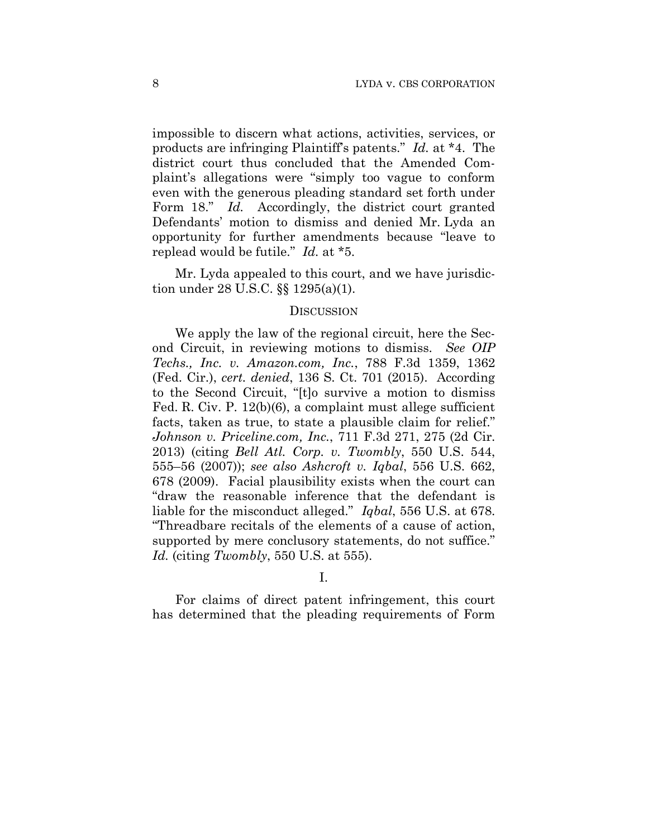impossible to discern what actions, activities, services, or products are infringing Plaintiff's patents." *Id.* at \*4. The district court thus concluded that the Amended Complaint's allegations were "simply too vague to conform even with the generous pleading standard set forth under Form 18." *Id.* Accordingly, the district court granted Defendants' motion to dismiss and denied Mr. Lyda an opportunity for further amendments because "leave to replead would be futile." *Id.* at \*5.

Mr. Lyda appealed to this court, and we have jurisdiction under 28 U.S.C. §§ 1295(a)(1).

## **DISCUSSION**

We apply the law of the regional circuit, here the Second Circuit, in reviewing motions to dismiss. *See OIP Techs., Inc. v. Amazon.com, Inc.*, 788 F.3d 1359, 1362 (Fed. Cir.), *cert. denied*, 136 S. Ct. 701 (2015). According to the Second Circuit, "[t]o survive a motion to dismiss Fed. R. Civ. P. 12(b)(6), a complaint must allege sufficient facts, taken as true, to state a plausible claim for relief." *Johnson v. Priceline.com, Inc.*, 711 F.3d 271, 275 (2d Cir. 2013) (citing *Bell Atl. Corp. v. Twombly*, 550 U.S. 544, 555–56 (2007)); *see also Ashcroft v. Iqbal*, 556 U.S. 662, 678 (2009). Facial plausibility exists when the court can "draw the reasonable inference that the defendant is liable for the misconduct alleged." *Iqbal*, 556 U.S. at 678. "Threadbare recitals of the elements of a cause of action, supported by mere conclusory statements, do not suffice." *Id.* (citing *Twombly*, 550 U.S. at 555).

I.

For claims of direct patent infringement, this court has determined that the pleading requirements of Form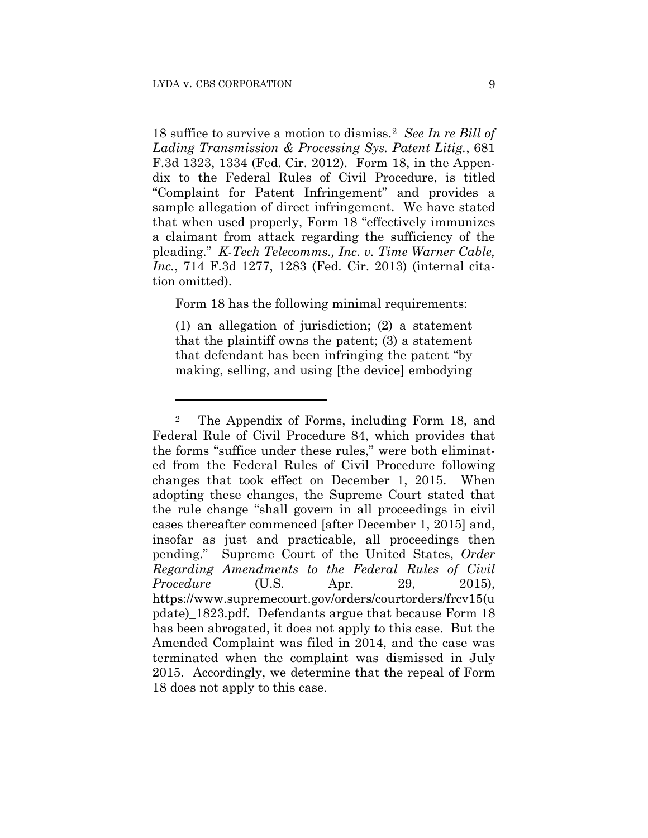1

18 suffice to survive a motion to dismiss.2 *See In re Bill of Lading Transmission & Processing Sys. Patent Litig.*, 681 F.3d 1323, 1334 (Fed. Cir. 2012). Form 18, in the Appendix to the Federal Rules of Civil Procedure, is titled "Complaint for Patent Infringement" and provides a sample allegation of direct infringement. We have stated that when used properly, Form 18 "effectively immunizes a claimant from attack regarding the sufficiency of the pleading." *K-Tech Telecomms., Inc. v. Time Warner Cable, Inc.*, 714 F.3d 1277, 1283 (Fed. Cir. 2013) (internal citation omitted).

Form 18 has the following minimal requirements:

(1) an allegation of jurisdiction; (2) a statement that the plaintiff owns the patent; (3) a statement that defendant has been infringing the patent "by making, selling, and using [the device] embodying

<sup>2</sup> The Appendix of Forms, including Form 18, and Federal Rule of Civil Procedure 84, which provides that the forms "suffice under these rules," were both eliminated from the Federal Rules of Civil Procedure following changes that took effect on December 1, 2015. When adopting these changes, the Supreme Court stated that the rule change "shall govern in all proceedings in civil cases thereafter commenced [after December 1, 2015] and, insofar as just and practicable, all proceedings then pending." Supreme Court of the United States, *Order Regarding Amendments to the Federal Rules of Civil Procedure* (U.S. Apr. 29, 2015), https://www.supremecourt.gov/orders/courtorders/frcv15(u pdate)\_1823.pdf. Defendants argue that because Form 18 has been abrogated, it does not apply to this case. But the Amended Complaint was filed in 2014, and the case was terminated when the complaint was dismissed in July 2015. Accordingly, we determine that the repeal of Form 18 does not apply to this case.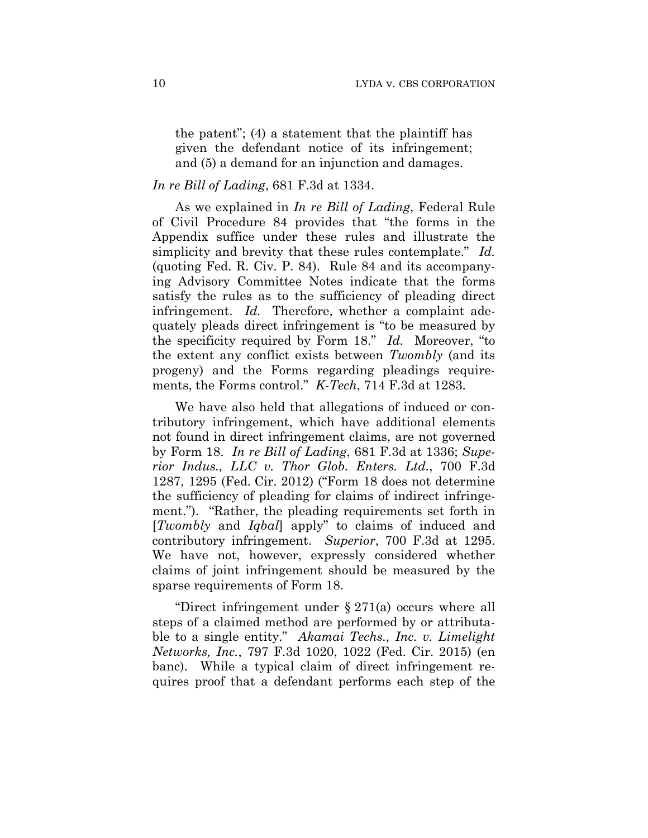the patent"; (4) a statement that the plaintiff has given the defendant notice of its infringement; and (5) a demand for an injunction and damages.

# *In re Bill of Lading*, 681 F.3d at 1334.

As we explained in *In re Bill of Lading*, Federal Rule of Civil Procedure 84 provides that "the forms in the Appendix suffice under these rules and illustrate the simplicity and brevity that these rules contemplate." *Id.* (quoting Fed. R. Civ. P. 84). Rule 84 and its accompanying Advisory Committee Notes indicate that the forms satisfy the rules as to the sufficiency of pleading direct infringement. *Id.* Therefore, whether a complaint adequately pleads direct infringement is "to be measured by the specificity required by Form 18." *Id.* Moreover, "to the extent any conflict exists between *Twombly* (and its progeny) and the Forms regarding pleadings requirements, the Forms control." *K-Tech*, 714 F.3d at 1283.

We have also held that allegations of induced or contributory infringement, which have additional elements not found in direct infringement claims, are not governed by Form 18. *In re Bill of Lading*, 681 F.3d at 1336; *Superior Indus., LLC v. Thor Glob. Enters. Ltd.*, 700 F.3d 1287, 1295 (Fed. Cir. 2012) ("Form 18 does not determine the sufficiency of pleading for claims of indirect infringement."). "Rather, the pleading requirements set forth in [*Twombly* and *Iqbal*] apply" to claims of induced and contributory infringement. *Superior*, 700 F.3d at 1295. We have not, however, expressly considered whether claims of joint infringement should be measured by the sparse requirements of Form 18.

"Direct infringement under § 271(a) occurs where all steps of a claimed method are performed by or attributable to a single entity." *Akamai Techs., Inc. v. Limelight Networks, Inc.*, 797 F.3d 1020, 1022 (Fed. Cir. 2015) (en banc). While a typical claim of direct infringement requires proof that a defendant performs each step of the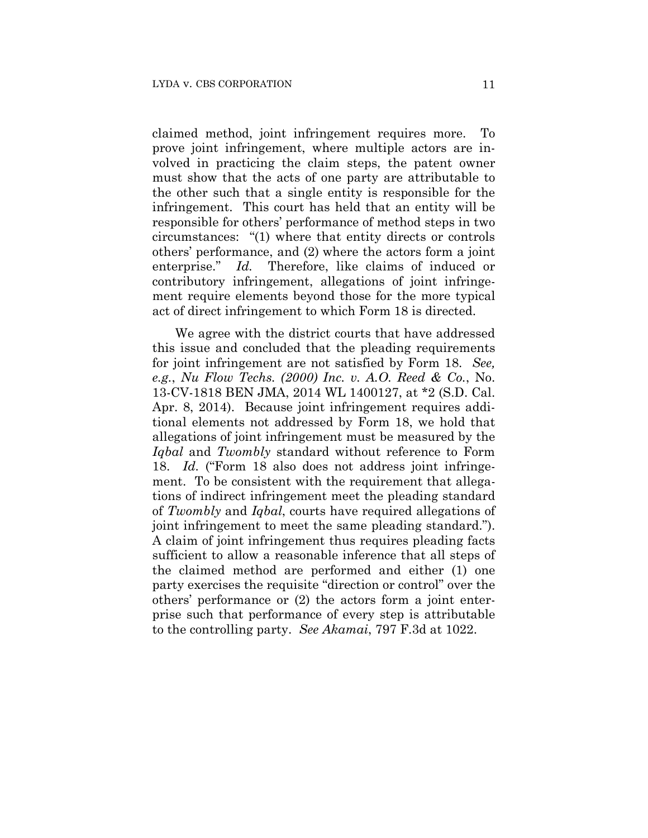claimed method, joint infringement requires more. To prove joint infringement, where multiple actors are involved in practicing the claim steps, the patent owner must show that the acts of one party are attributable to the other such that a single entity is responsible for the infringement. This court has held that an entity will be responsible for others' performance of method steps in two circumstances: "(1) where that entity directs or controls others' performance, and (2) where the actors form a joint enterprise." *Id.* Therefore, like claims of induced or contributory infringement, allegations of joint infringement require elements beyond those for the more typical act of direct infringement to which Form 18 is directed.

We agree with the district courts that have addressed this issue and concluded that the pleading requirements for joint infringement are not satisfied by Form 18. *See, e.g.*, *Nu Flow Techs. (2000) Inc. v. A.O. Reed & Co.*, No. 13-CV-1818 BEN JMA, 2014 WL 1400127, at \*2 (S.D. Cal. Apr. 8, 2014). Because joint infringement requires additional elements not addressed by Form 18, we hold that allegations of joint infringement must be measured by the *Iqbal* and *Twombly* standard without reference to Form 18. *Id.* ("Form 18 also does not address joint infringement. To be consistent with the requirement that allegations of indirect infringement meet the pleading standard of *Twombly* and *Iqbal*, courts have required allegations of joint infringement to meet the same pleading standard."). A claim of joint infringement thus requires pleading facts sufficient to allow a reasonable inference that all steps of the claimed method are performed and either (1) one party exercises the requisite "direction or control" over the others' performance or (2) the actors form a joint enterprise such that performance of every step is attributable to the controlling party. *See Akamai*, 797 F.3d at 1022.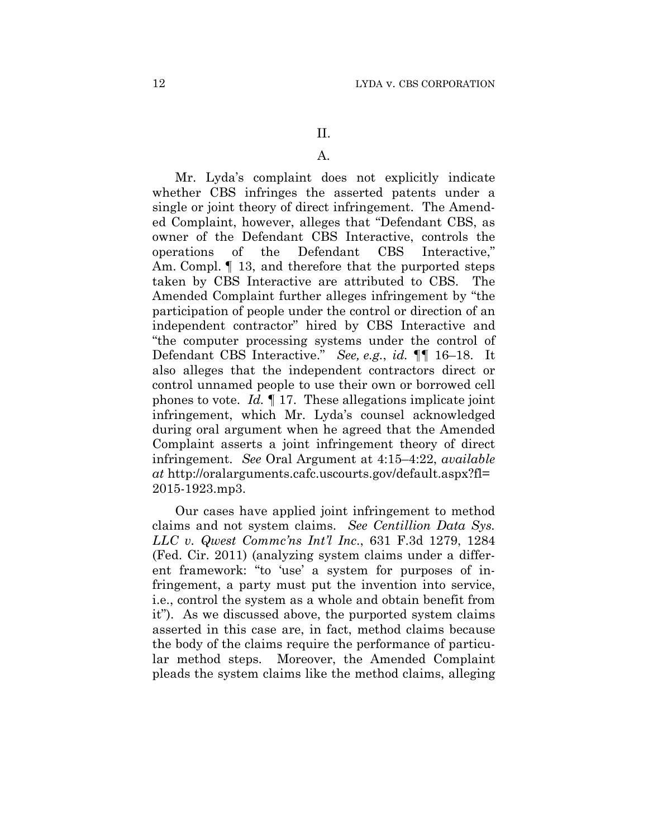# A.

Mr. Lyda's complaint does not explicitly indicate whether CBS infringes the asserted patents under a single or joint theory of direct infringement. The Amended Complaint, however, alleges that "Defendant CBS, as owner of the Defendant CBS Interactive, controls the operations of the Defendant CBS Interactive," Am. Compl.  $\P$  13, and therefore that the purported steps taken by CBS Interactive are attributed to CBS. The Amended Complaint further alleges infringement by "the participation of people under the control or direction of an independent contractor" hired by CBS Interactive and "the computer processing systems under the control of Defendant CBS Interactive." *See, e.g.*, *id.* ¶¶ 16–18. It also alleges that the independent contractors direct or control unnamed people to use their own or borrowed cell phones to vote. *Id.* ¶ 17. These allegations implicate joint infringement, which Mr. Lyda's counsel acknowledged during oral argument when he agreed that the Amended Complaint asserts a joint infringement theory of direct infringement. *See* Oral Argument at 4:15–4:22, *available at* http://oralarguments.cafc.uscourts.gov/default.aspx?fl= 2015-1923.mp3.

Our cases have applied joint infringement to method claims and not system claims. *See Centillion Data Sys. LLC v. Qwest Commc'ns Int'l Inc*., 631 F.3d 1279, 1284 (Fed. Cir. 2011) (analyzing system claims under a different framework: "to 'use' a system for purposes of infringement, a party must put the invention into service, i.e., control the system as a whole and obtain benefit from it"). As we discussed above, the purported system claims asserted in this case are, in fact, method claims because the body of the claims require the performance of particular method steps. Moreover, the Amended Complaint pleads the system claims like the method claims, alleging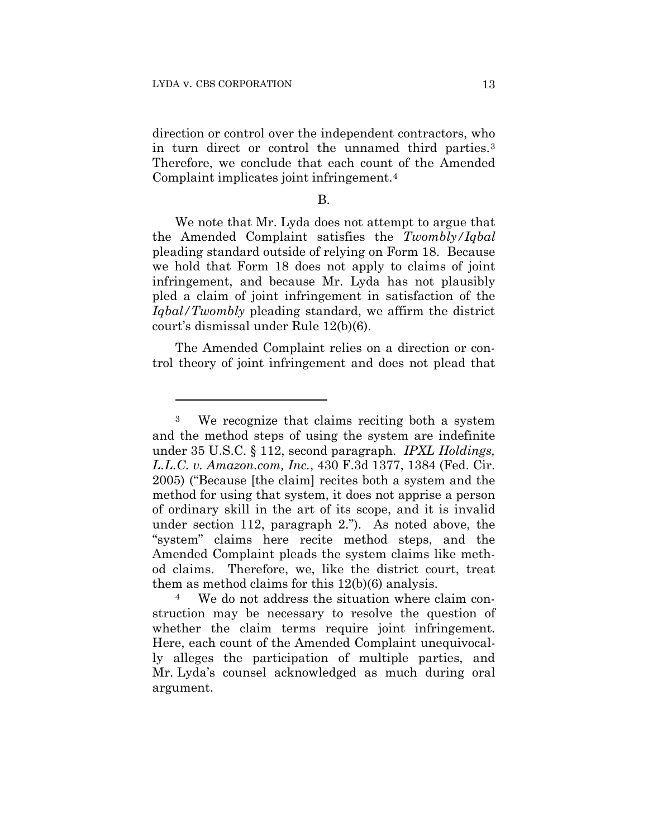1

direction or control over the independent contractors, who in turn direct or control the unnamed third parties.3 Therefore, we conclude that each count of the Amended Complaint implicates joint infringement.4

#### B.

We note that Mr. Lyda does not attempt to argue that the Amended Complaint satisfies the *Twombly/Iqbal* pleading standard outside of relying on Form 18. Because we hold that Form 18 does not apply to claims of joint infringement, and because Mr. Lyda has not plausibly pled a claim of joint infringement in satisfaction of the *Iqbal/Twombly* pleading standard, we affirm the district court's dismissal under Rule 12(b)(6).

The Amended Complaint relies on a direction or control theory of joint infringement and does not plead that

<sup>3</sup> We recognize that claims reciting both a system and the method steps of using the system are indefinite under 35 U.S.C. § 112, second paragraph. *IPXL Holdings, L.L.C. v. Amazon.com, Inc.*, 430 F.3d 1377, 1384 (Fed. Cir. 2005) ("Because [the claim] recites both a system and the method for using that system, it does not apprise a person of ordinary skill in the art of its scope, and it is invalid under section 112, paragraph 2."). As noted above, the "system" claims here recite method steps, and the Amended Complaint pleads the system claims like method claims. Therefore, we, like the district court, treat them as method claims for this 12(b)(6) analysis.

<sup>4</sup> We do not address the situation where claim construction may be necessary to resolve the question of whether the claim terms require joint infringement. Here, each count of the Amended Complaint unequivocally alleges the participation of multiple parties, and Mr. Lyda's counsel acknowledged as much during oral argument.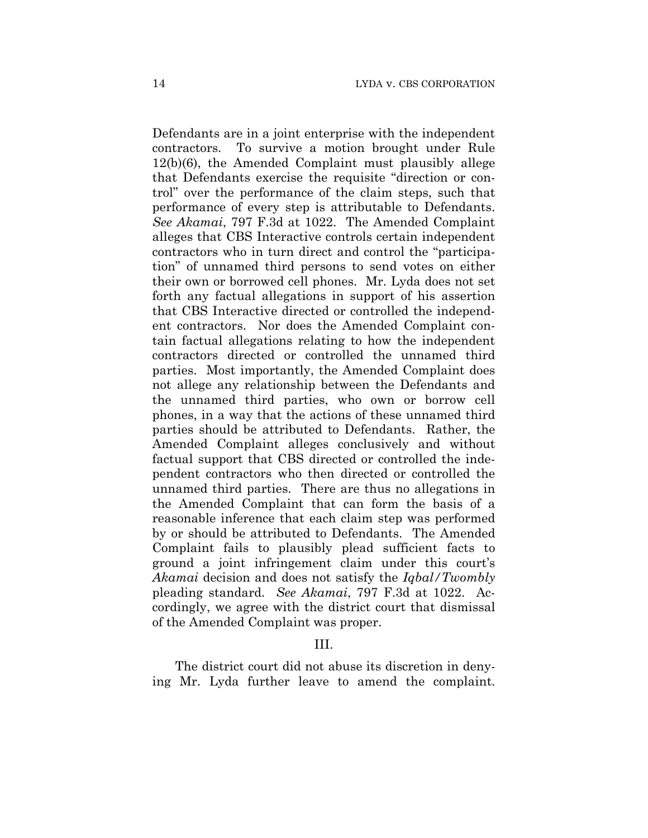Defendants are in a joint enterprise with the independent contractors. To survive a motion brought under Rule 12(b)(6), the Amended Complaint must plausibly allege that Defendants exercise the requisite "direction or control" over the performance of the claim steps, such that performance of every step is attributable to Defendants. *See Akamai*, 797 F.3d at 1022. The Amended Complaint alleges that CBS Interactive controls certain independent contractors who in turn direct and control the "participation" of unnamed third persons to send votes on either their own or borrowed cell phones. Mr. Lyda does not set forth any factual allegations in support of his assertion that CBS Interactive directed or controlled the independent contractors. Nor does the Amended Complaint contain factual allegations relating to how the independent contractors directed or controlled the unnamed third parties. Most importantly, the Amended Complaint does not allege any relationship between the Defendants and the unnamed third parties, who own or borrow cell phones, in a way that the actions of these unnamed third parties should be attributed to Defendants. Rather, the Amended Complaint alleges conclusively and without factual support that CBS directed or controlled the independent contractors who then directed or controlled the unnamed third parties. There are thus no allegations in the Amended Complaint that can form the basis of a reasonable inference that each claim step was performed by or should be attributed to Defendants. The Amended Complaint fails to plausibly plead sufficient facts to ground a joint infringement claim under this court's *Akamai* decision and does not satisfy the *Iqbal/Twombly* pleading standard. *See Akamai*, 797 F.3d at 1022. Accordingly, we agree with the district court that dismissal of the Amended Complaint was proper.

#### III.

The district court did not abuse its discretion in denying Mr. Lyda further leave to amend the complaint.